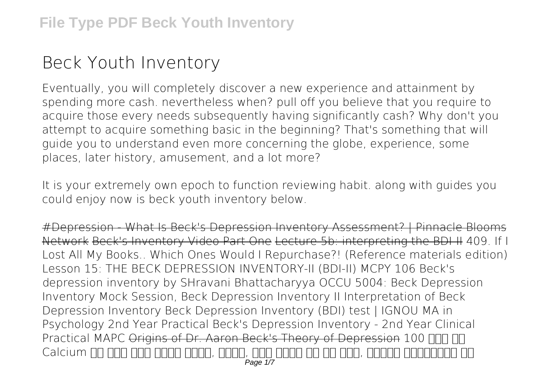## **Beck Youth Inventory**

Eventually, you will completely discover a new experience and attainment by spending more cash. nevertheless when? pull off you believe that you require to acquire those every needs subsequently having significantly cash? Why don't you attempt to acquire something basic in the beginning? That's something that will guide you to understand even more concerning the globe, experience, some places, later history, amusement, and a lot more?

It is your extremely own epoch to function reviewing habit. along with guides you could enjoy now is **beck youth inventory** below.

#Depression - What Is Beck's Depression Inventory Assessment? | Pinnacle Blooms Network Beck's Inventory Video Part One Lecture 5b: interpreting the BDI-II *409. If I Lost All My Books.. Which Ones Would I Repurchase?! (Reference materials edition) Lesson 15: THE BECK DEPRESSION INVENTORY-II (BDI-II)* **MCPY 106 Beck's depression inventory by SHravani Bhattacharyya OCCU 5004: Beck Depression Inventory** *Mock Session, Beck Depression Inventory II Interpretation of Beck Depression Inventory Beck Depression Inventory (BDI) test | IGNOU MA in Psychology 2nd Year Practical Beck's Depression Inventory - 2nd Year Clinical Practical MAPC* Origins of Dr. Aaron Beck's Theory of Depression **100 साल तक** Calcium <u>on onn ann anna anna, anna, ann anna an ann, annan an</u> Page 1/7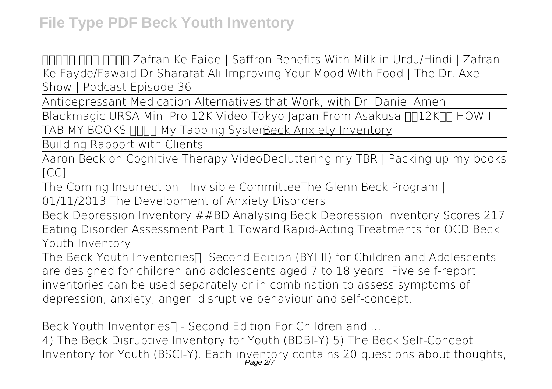**फौलाद बना देगा Zafran Ke Faide | Saffron Benefits With Milk in Urdu/Hindi | Zafran Ke Fayde/Fawaid Dr Sharafat Ali** Improving Your Mood With Food | The Dr. Axe Show | Podcast Episode 36

Antidepressant Medication Alternatives that Work, with Dr. Daniel Amen

Blackmagic URSA Mini Pro 12K Video Tokyo Japan From Asakusa <sub>11</sub>12K<sub>H</sub> HOW I TAB MY BOOKS **FIND My Tabbing SysterReck Anxiety Inventory** 

Building Rapport with Clients

Aaron Beck on Cognitive Therapy Video**Decluttering my TBR | Packing up my books [CC]**

The Coming Insurrection | Invisible Committee**The Glenn Beck Program | 01/11/2013** *The Development of Anxiety Disorders*

Beck Depression Inventory ##BDIAnalysing Beck Depression Inventory Scores **217 Eating Disorder Assessment Part 1 Toward Rapid-Acting Treatments for OCD** *Beck Youth Inventory*

The Beck Youth Inventories∏ -Second Edition (BYI-II) for Children and Adolescents are designed for children and adolescents aged 7 to 18 years. Five self-report inventories can be used separately or in combination to assess symptoms of depression, anxiety, anger, disruptive behaviour and self-concept.

*Beck Youth Inventories™ - Second Edition For Children and ...*

4) The Beck Disruptive Inventory for Youth (BDBI-Y) 5) The Beck Self-Concept Inventory for Youth (BSCI-Y). Each inventory contains 20 questions about thoughts, Page 2/7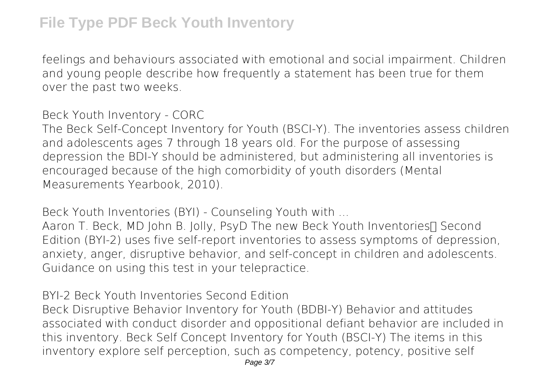feelings and behaviours associated with emotional and social impairment. Children and young people describe how frequently a statement has been true for them over the past two weeks.

*Beck Youth Inventory - CORC*

The Beck Self-Concept Inventory for Youth (BSCI-Y). The inventories assess children and adolescents ages 7 through 18 years old. For the purpose of assessing depression the BDI-Y should be administered, but administering all inventories is encouraged because of the high comorbidity of youth disorders (Mental Measurements Yearbook, 2010).

*Beck Youth Inventories (BYI) - Counseling Youth with ...*

Aaron T. Beck, MD John B. Jolly, PsyD The new Beck Youth Inventories∏ Second Edition (BYI-2) uses five self-report inventories to assess symptoms of depression, anxiety, anger, disruptive behavior, and self-concept in children and adolescents. Guidance on using this test in your telepractice.

*BYI-2 Beck Youth Inventories Second Edition*

Beck Disruptive Behavior Inventory for Youth (BDBI-Y) Behavior and attitudes associated with conduct disorder and oppositional defiant behavior are included in this inventory. Beck Self Concept Inventory for Youth (BSCI-Y) The items in this inventory explore self perception, such as competency, potency, positive self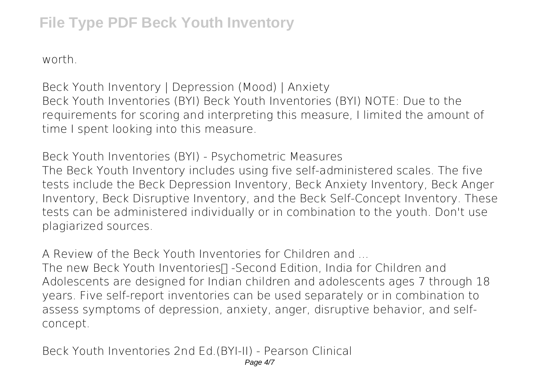## **File Type PDF Beck Youth Inventory**

worth.

*Beck Youth Inventory | Depression (Mood) | Anxiety* Beck Youth Inventories (BYI) Beck Youth Inventories (BYI) NOTE: Due to the requirements for scoring and interpreting this measure, I limited the amount of time I spent looking into this measure.

*Beck Youth Inventories (BYI) - Psychometric Measures* The Beck Youth Inventory includes using five self-administered scales. The five tests include the Beck Depression Inventory, Beck Anxiety Inventory, Beck Anger Inventory, Beck Disruptive Inventory, and the Beck Self-Concept Inventory. These tests can be administered individually or in combination to the youth. Don't use plagiarized sources.

*A Review of the Beck Youth Inventories for Children and ...*

The new Beck Youth Inventories∏ -Second Edition, India for Children and Adolescents are designed for Indian children and adolescents ages 7 through 18 years. Five self-report inventories can be used separately or in combination to assess symptoms of depression, anxiety, anger, disruptive behavior, and selfconcept.

*Beck Youth Inventories 2nd Ed.(BYI-II) - Pearson Clinical*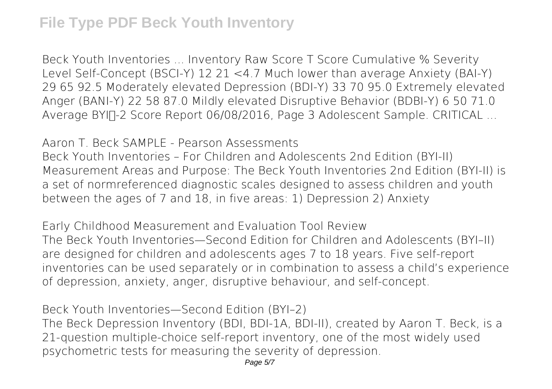Beck Youth Inventories ... Inventory Raw Score T Score Cumulative % Severity Level Self-Concept (BSCI-Y) 12 21 <4.7 Much lower than average Anxiety (BAI-Y) 29 65 92.5 Moderately elevated Depression (BDI-Y) 33 70 95.0 Extremely elevated Anger (BANI-Y) 22 58 87.0 Mildly elevated Disruptive Behavior (BDBI-Y) 6 50 71.0 Average BYIN-2 Score Report 06/08/2016, Page 3 Adolescent Sample. CRITICAL ...

*Aaron T. Beck SAMPLE - Pearson Assessments* Beck Youth Inventories – For Children and Adolescents 2nd Edition (BYI-II) Measurement Areas and Purpose: The Beck Youth Inventories 2nd Edition (BYI‐II) is a set of normreferenced diagnostic scales designed to assess children and youth between the ages of 7 and 18, in five areas: 1) Depression 2) Anxiety

*Early Childhood Measurement and Evaluation Tool Review* The Beck Youth Inventories—Second Edition for Children and Adolescents (BYI–II) are designed for children and adolescents ages 7 to 18 years. Five self-report inventories can be used separately or in combination to assess a child's experience of depression, anxiety, anger, disruptive behaviour, and self-concept.

*Beck Youth Inventories—Second Edition (BYI–2)* The Beck Depression Inventory (BDI, BDI-1A, BDI-II), created by Aaron T. Beck, is a 21-question multiple-choice self-report inventory, one of the most widely used psychometric tests for measuring the severity of depression.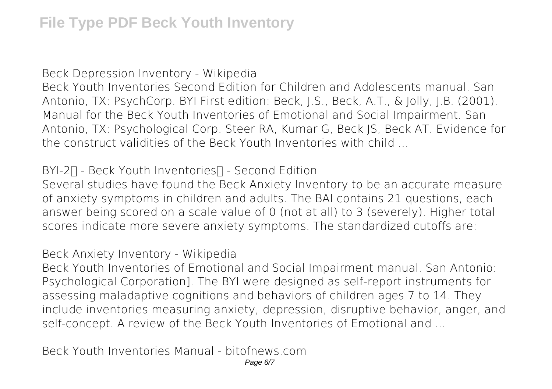*Beck Depression Inventory - Wikipedia*

Beck Youth Inventories Second Edition for Children and Adolescents manual. San Antonio, TX: PsychCorp. BYI First edition: Beck, J.S., Beck, A.T., & Jolly, J.B. (2001). Manual for the Beck Youth Inventories of Emotional and Social Impairment. San Antonio, TX: Psychological Corp. Steer RA, Kumar G, Beck JS, Beck AT. Evidence for the construct validities of the Beck Youth Inventories with child ...

## *BYI-2™ - Beck Youth Inventories™ - Second Edition*

Several studies have found the Beck Anxiety Inventory to be an accurate measure of anxiety symptoms in children and adults. The BAI contains 21 questions, each answer being scored on a scale value of 0 (not at all) to 3 (severely). Higher total scores indicate more severe anxiety symptoms. The standardized cutoffs are:

*Beck Anxiety Inventory - Wikipedia*

Beck Youth Inventories of Emotional and Social Impairment manual. San Antonio: Psychological Corporation]. The BYI were designed as self-report instruments for assessing maladaptive cognitions and behaviors of children ages 7 to 14. They include inventories measuring anxiety, depression, disruptive behavior, anger, and self-concept. A review of the Beck Youth Inventories of Emotional and ...

*Beck Youth Inventories Manual - bitofnews.com*